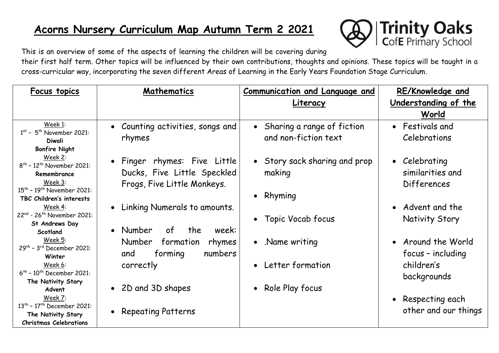# **Acorns Nursery Curriculum Map Autumn Term 2 2021**



This is an overview of some of the aspects of learning the children will be covering during their first half term. Other topics will be influenced by their own contributions, thoughts and opinions. These topics will be taught in a cross-curricular way, incorporating the seven different Areas of Learning in the Early Years Foundation Stage Curriculum.

| <b>Focus topics</b>                                                                                                                   | Mathematics                                                                                | <b>Communication and Language and</b>                | <b>RE/Knowledge and</b>                                 |
|---------------------------------------------------------------------------------------------------------------------------------------|--------------------------------------------------------------------------------------------|------------------------------------------------------|---------------------------------------------------------|
|                                                                                                                                       |                                                                                            | <u>Literacy</u>                                      | <u>Understanding of the </u>                            |
|                                                                                                                                       |                                                                                            |                                                      | World                                                   |
| Week 1:<br>$1st$ - 5 <sup>th</sup> November 2021:<br><b>Diwali</b>                                                                    | • Counting activities, songs and<br>rhymes                                                 | Sharing a range of fiction<br>and non-fiction text   | • Festivals and<br><b>Celebrations</b>                  |
| <b>Bonfire Night</b>                                                                                                                  |                                                                                            |                                                      |                                                         |
| Week 2:<br>$8^{th}$ - 12 <sup>th</sup> November 2021:<br>Remembrance<br>Week 3:<br>15 <sup>th</sup> - 19 <sup>th</sup> November 2021: | • Finger rhymes: Five Little<br>Ducks, Five Little Speckled<br>Frogs, Five Little Monkeys. | • Story sack sharing and prop<br>making<br>• Rhyming | • Celebrating<br>similarities and<br><b>Differences</b> |
| TBC Children's interests<br>Week 4:                                                                                                   |                                                                                            |                                                      | • Advent and the                                        |
| 22nd - 26 <sup>th</sup> November 2021:                                                                                                | Linking Numerals to amounts.<br>$\bullet$                                                  |                                                      |                                                         |
| St Andrews Day                                                                                                                        |                                                                                            | Topic Vocab focus                                    | <b>Nativity Story</b>                                   |
| Scotland                                                                                                                              | of<br>• Number<br>the<br>week:                                                             |                                                      |                                                         |
| Week 5:<br>$29th$ - 3 <sup>rd</sup> December 2021:<br>Winter                                                                          | Number<br>formation<br>rhymes<br>and<br>forming<br>numbers                                 | • Name writing                                       | • Around the World<br>focus - including                 |
| Week 6:<br>$6^{th}$ - 10 <sup>th</sup> December 2021:                                                                                 | correctly                                                                                  | • Letter formation                                   | children's<br>backgrounds                               |
| The Nativity Story                                                                                                                    | • 2D and 3D shapes                                                                         | • Role Play focus                                    |                                                         |
| Advent<br>Week 7:<br>13 <sup>th</sup> - 17 <sup>th</sup> December 2021:                                                               |                                                                                            |                                                      | • Respecting each                                       |
| The Nativity Story                                                                                                                    | <b>Repeating Patterns</b><br>$\bullet$                                                     |                                                      | other and our things                                    |
| <b>Christmas Celebrations</b>                                                                                                         |                                                                                            |                                                      |                                                         |